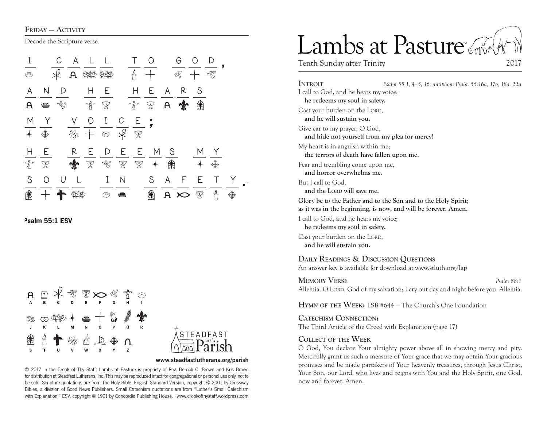FRIDAY - ACTIVITY

Decode the Scripture verse.



Psalm 55:1 ESV





#### **www.steadfastlutherans.org/parish**

© 2017 In the Crook of Thy Staff: Lambs at Pasture is propriety of Rev. Derrick C. Brown and Kris Brown for distribution at Steadfast Lutherans, Inc. This may be reproduced intact for congregational or personal use only, not to be sold. Scripture quotations are from The Holy Bible, English Standard Version, copyright © 2001 by Crossway Bibles, a division of Good News Publishers. Small Catechism quotations are from "Luther's Small Catechism with Explanation," ESV, copyright © 1991 by Concordia Publishing House. www.crookofthystaff.wordpress.com

# Lambs at Pasture

Tenth Sunday after Trinity 2017

**Introit** *Psalm 55:1, 4–5, 16; antiphon: Psalm 55:16a, 17b, 18a, 22a* I call to God, and he hears my voice; **he redeems my soul in safety.**  Cast your burden on the LORD, **and he will sustain you.**  Give ear to my prayer, O God, **and hide not yourself from my plea for mercy!**  My heart is in anguish within me; **the terrors of death have fallen upon me.**  Fear and trembling come upon me, **and horror overwhelms me.**  But I call to God, and the LORD will save me. **Glory be to the Father and to the Son and to the Holy Spirit; as it was in the beginning, is now, and will be forever. Amen.** I call to God, and he hears my voice; **he redeems my soul in safety.**  Cast your burden on the LORD. **and he will sustain you. Daily Readings & Discussion Questions** An answer key is available for download at www.stluth.org/lap

**Memory Verse** *Psalm 88:1* Alleluia. O LORD, God of my salvation; I cry out day and night before you. Alleluia.

**Hymn of the Week:** LSB #644 — The Church's One Foundation

**Catechism Connection:** The Third Article of the Creed with Explanation (page 17)

#### **Collect of the Week**

O God, You declare Your almighty power above all in showing mercy and pity. Mercifully grant us such a measure of Your grace that we may obtain Your gracious promises and be made partakers of Your heavenly treasures; through Jesus Christ, Your Son, our Lord, who lives and reigns with You and the Holy Spirit, one God, now and forever. Amen.